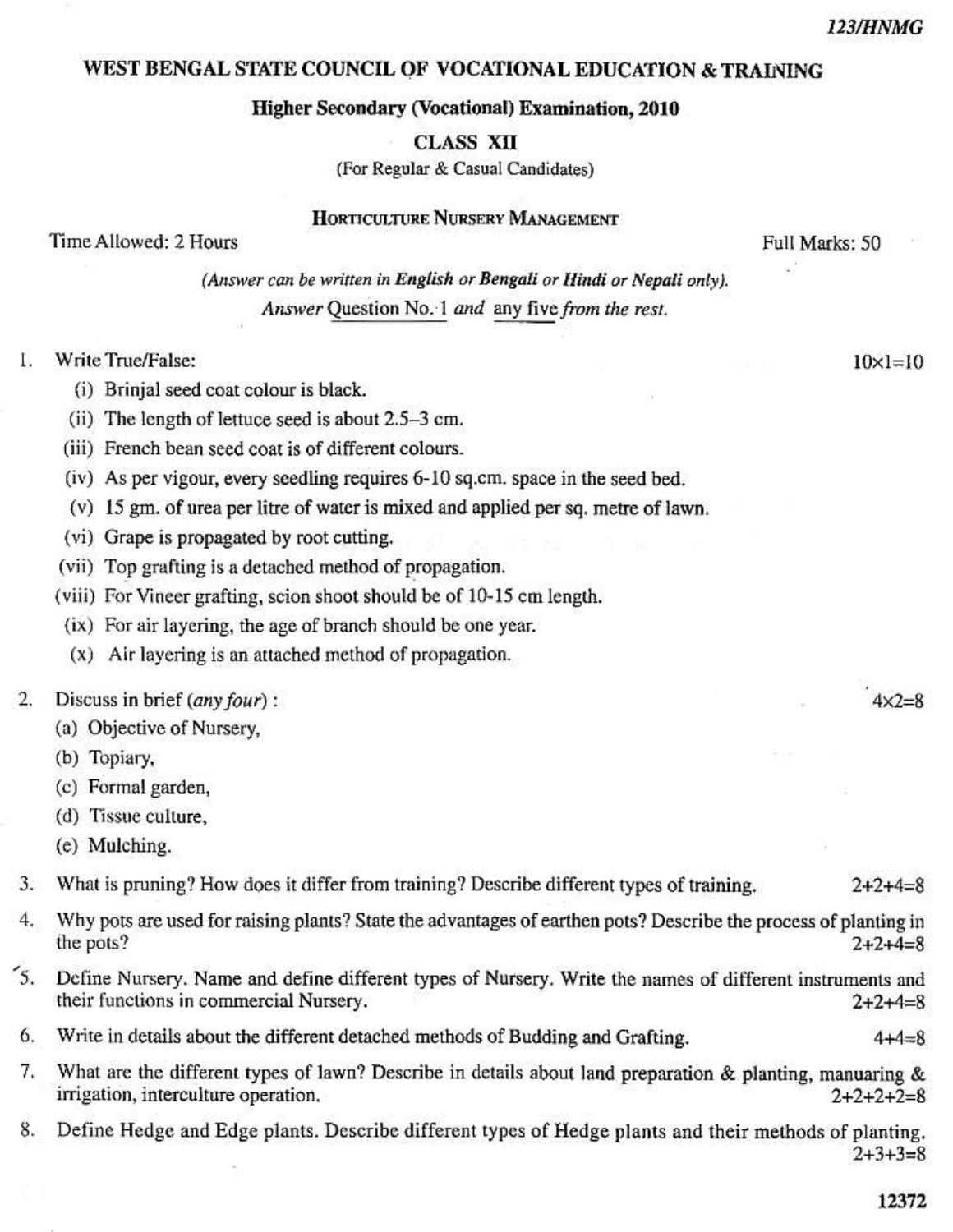$10 \times 1 = 10$ 

 $4x2 = 8$ 

### WEST BENGAL STATE COUNCIL OF VOCATIONAL EDUCATION & TRAINING

### Higher Secondary (Vocational) Examination, 2010

**CLASS XII** 

(For Regular & Casual Candidates)

HORTICULTURE NURSERY MANAGEMENT

Time Allowed: 2 Hours

Full Marks: 50

(Answer can be written in English or Bengali or Hindi or Nepali only). Answer Question No. 1 and any five from the rest.

#### Ţ. Write True/False:

- (i) Brinjal seed coat colour is black.
- (ii) The length of lettuce seed is about 2.5–3 cm.
- (iii) French bean seed coat is of different colours.
- (iv) As per vigour, every seedling requires 6-10 sq.cm, space in the seed bed.
- (v) 15 gm. of urea per litre of water is mixed and applied per sq. metre of lawn.
- (vi) Grape is propagated by root cutting.
- (vii) Top grafting is a detached method of propagation.
- (viii) For Vineer grafting, scion shoot should be of 10-15 cm length.
- (ix) For air layering, the age of branch should be one year.
- (x) Air layering is an attached method of propagation.

#### 2. Discuss in brief (any four):

- (a) Objective of Nursery,
- (b) Topiary,
- (c) Formal garden,
- (d) Tissue culture,
- (e) Mulching.

What is pruning? How does it differ from training? Describe different types of training. 3.  $2 + 2 + 4 = 8$ 

- $4.$ Why pots are used for raising plants? State the advantages of earthen pots? Describe the process of planting in the pots?  $2+2+4=8$
- $\mathfrak{I}$ . Define Nursery. Name and define different types of Nursery. Write the names of different instruments and their functions in commercial Nursery.  $2+2+4=8$
- Write in details about the different detached methods of Budding and Grafting. 6.
- What are the different types of lawn? Describe in details about land preparation & planting, manuaring &  $7.$ irrigation, interculture operation.  $2+2+2+2=8$
- 8. Define Hedge and Edge plants. Describe different types of Hedge plants and their methods of planting.  $2+3+3=8$

12372

 $4 + 4 = 8$